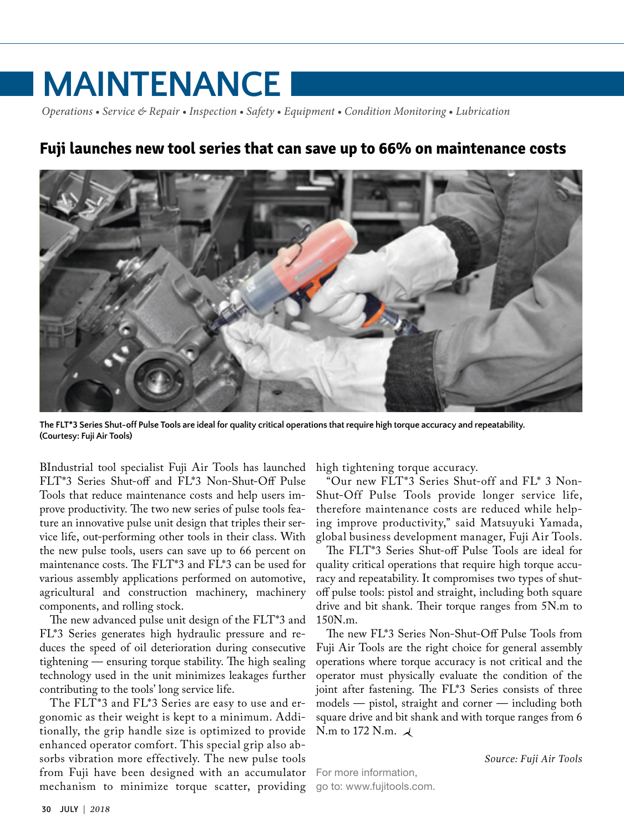## **MAINTENANCE**

*Operations • Service & Repair • Inspection • Safety • Equipment • Condition Monitoring • Lubrication*

## **Fuji launches new tool series that can save up to 66% on maintenance costs**



**The FLT\*3 Series Shut-off Pulse Tools are ideal for quality critical operations that require high torque accuracy and repeatability. (Courtesy: Fuji Air Tools)**

BIndustrial tool specialist Fuji Air Tools has launched FLT\*3 Series Shut-off and FL\*3 Non-Shut-Off Pulse Tools that reduce maintenance costs and help users improve productivity. The two new series of pulse tools feature an innovative pulse unit design that triples their service life, out-performing other tools in their class. With the new pulse tools, users can save up to 66 percent on maintenance costs. The FLT\*3 and FL\*3 can be used for various assembly applications performed on automotive, agricultural and construction machinery, machinery components, and rolling stock.

The new advanced pulse unit design of the FLT\*3 and FL\*3 Series generates high hydraulic pressure and reduces the speed of oil deterioration during consecutive tightening — ensuring torque stability. The high sealing technology used in the unit minimizes leakages further contributing to the tools' long service life.

The FLT\*3 and FL\*3 Series are easy to use and ergonomic as their weight is kept to a minimum. Additionally, the grip handle size is optimized to provide enhanced operator comfort. This special grip also absorbs vibration more effectively. The new pulse tools from Fuji have been designed with an accumulator mechanism to minimize torque scatter, providing go to: [www.fujitools.com.](http://www.fujitools.com)

high tightening torque accuracy.

"Our new FLT\*3 Series Shut-off and FL\* 3 Non-Shut-Off Pulse Tools provide longer service life, therefore maintenance costs are reduced while helping improve productivity," said Matsuyuki Yamada, global business development manager, Fuji Air Tools.

The FLT\*3 Series Shut-off Pulse Tools are ideal for quality critical operations that require high torque accuracy and repeatability. It compromises two types of shutoff pulse tools: pistol and straight, including both square drive and bit shank. Their torque ranges from 5N.m to 150N.m.

The new FL\*3 Series Non-Shut-Off Pulse Tools from Fuji Air Tools are the right choice for general assembly operations where torque accuracy is not critical and the operator must physically evaluate the condition of the joint after fastening. The FL\*3 Series consists of three models — pistol, straight and corner — including both square drive and bit shank and with torque ranges from 6 N.m to 172 N.m.  $\lambda$ 

For more information,